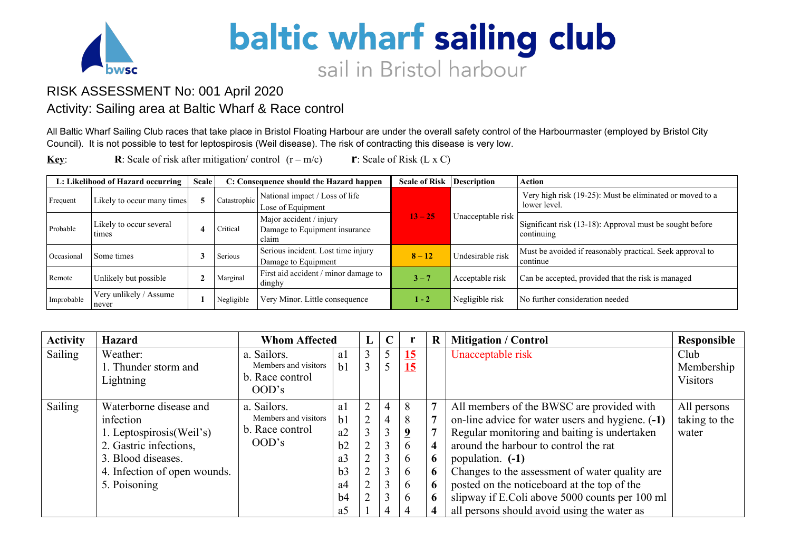

## **baltic wharf sailing club** sail in Bristol harbour

## RISK ASSESSMENT No: 001 April 2020

## Activity: Sailing area at Baltic Wharf & Race control

All Baltic Wharf Sailing Club races that take place in Bristol Floating Harbour are under the overall safety control of the Harbourmaster (employed by Bristol City Council). It is not possible to test for leptospirosis (Weil disease). The risk of contracting this disease is very low.

**Key: R**: Scale of risk after mitigation/ control  $(r - m/c)$  **r**: Scale of Risk (L x C)

| L: Likelihood of Hazard occurring |                                  | <b>Scale</b> |              | C: Consequence should the Hazard happen                           | <b>Scale of Risk</b> | Description       | <b>Action</b>                                                            |
|-----------------------------------|----------------------------------|--------------|--------------|-------------------------------------------------------------------|----------------------|-------------------|--------------------------------------------------------------------------|
| Frequent                          | Likely to occur many times       |              | Catastrophic | National impact / Loss of life<br>Lose of Equipment               |                      |                   | Very high risk (19-25): Must be eliminated or moved to a<br>lower level. |
| Probable                          | Likely to occur several<br>times | $\sqrt{2}$   | Critical     | Major accident / injury<br>Damage to Equipment insurance<br>claim | $13 - 25$            | Unacceptable risk | Significant risk (13-18): Approval must be sought before<br>  continuing |
| Occasiona                         | Some times                       |              | Serious      | Serious incident. Lost time injury<br>Damage to Equipment         | $8 - 12$             | Undesirable risk  | Must be avoided if reasonably practical. Seek approval to<br>continue    |
| Remote                            | Unlikely but possible            |              | Marginal     | First aid accident / minor damage to<br>dinghy                    | $3 - 7$              | Acceptable risk   | Can be accepted, provided that the risk is managed                       |
| Improbable                        | Very unlikely / Assume<br>never  |              | Negligible   | Very Minor. Little consequence                                    | $1 - 2$              | Negligible risk   | No further consideration needed                                          |

| <b>Activity</b> | <b>Hazard</b>                                                                                                                                                   | <b>Whom Affected</b>                                            |                                                                                        | $\bf{L}$            | $\mathbf C$ |                                                      | $\bf R$     | <b>Mitigation / Control</b>                                                                                                                                                                                                                                                                                                                                                                                  | Responsible                           |
|-----------------|-----------------------------------------------------------------------------------------------------------------------------------------------------------------|-----------------------------------------------------------------|----------------------------------------------------------------------------------------|---------------------|-------------|------------------------------------------------------|-------------|--------------------------------------------------------------------------------------------------------------------------------------------------------------------------------------------------------------------------------------------------------------------------------------------------------------------------------------------------------------------------------------------------------------|---------------------------------------|
| Sailing         | Weather:<br>. Thunder storm and<br>Lightning                                                                                                                    | a. Sailors.<br>Members and visitors<br>b. Race control<br>OOD's | a1<br>b <sub>1</sub>                                                                   | 3                   |             | 15<br><u> 15</u>                                     |             | Unacceptable risk                                                                                                                                                                                                                                                                                                                                                                                            | Club<br>Membership<br><b>Visitors</b> |
| Sailing         | Waterborne disease and<br>infection<br>1. Leptospirosis(Weil's)<br>2. Gastric infections,<br>3. Blood diseases.<br>4. Infection of open wounds.<br>5. Poisoning | a. Sailors.<br>Members and visitors<br>b. Race control<br>OOD's | a1<br>b <sub>1</sub><br>a2<br>b2<br>a <sub>3</sub><br>b3<br>a <sup>4</sup><br>b4<br>a5 | 2<br>$\bigcap$<br>↑ | 4           | 8<br>8<br>9<br>6<br>6<br><sub>b</sub><br>6<br>6<br>4 | 6<br>6<br>6 | All members of the BWSC are provided with<br>on-line advice for water users and hygiene. (-1)<br>Regular monitoring and baiting is undertaken<br>around the harbour to control the rat<br>population. (-1)<br>Changes to the assessment of water quality are<br>posted on the noticeboard at the top of the<br>slipway if E.Coli above 5000 counts per 100 ml<br>all persons should avoid using the water as | All persons<br>taking to the<br>water |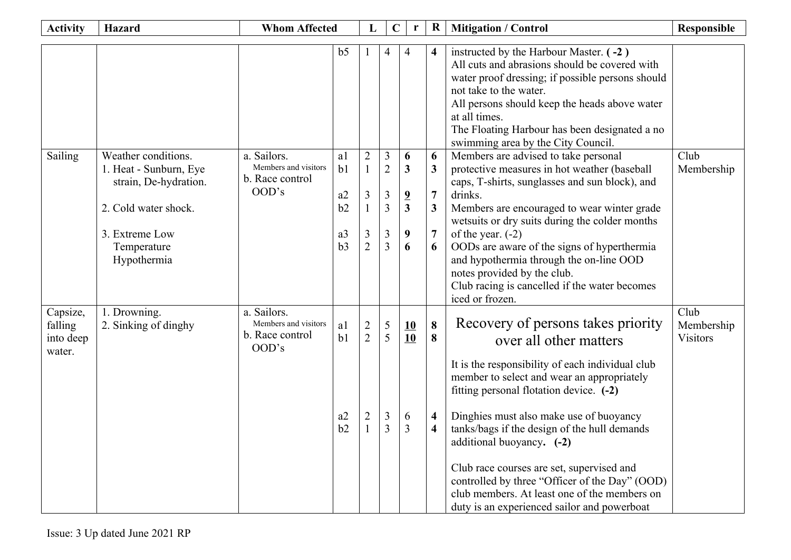| <b>Activity</b>                            | <b>Whom Affected</b><br><b>Hazard</b>                                                                                                          |                                                                 |                                                          | L                                                          | $\mathbf C$                                          | r                                                           | $\bf R$                                                           | <b>Mitigation / Control</b>                                                                                                                                                                                                                                                                                                                                                                                                                                                                                                     | <b>Responsible</b>             |
|--------------------------------------------|------------------------------------------------------------------------------------------------------------------------------------------------|-----------------------------------------------------------------|----------------------------------------------------------|------------------------------------------------------------|------------------------------------------------------|-------------------------------------------------------------|-------------------------------------------------------------------|---------------------------------------------------------------------------------------------------------------------------------------------------------------------------------------------------------------------------------------------------------------------------------------------------------------------------------------------------------------------------------------------------------------------------------------------------------------------------------------------------------------------------------|--------------------------------|
|                                            |                                                                                                                                                |                                                                 | b <sub>5</sub>                                           |                                                            | 4                                                    | 4                                                           | 4                                                                 | instructed by the Harbour Master. (-2)<br>All cuts and abrasions should be covered with<br>water proof dressing; if possible persons should<br>not take to the water.<br>All persons should keep the heads above water<br>at all times.<br>The Floating Harbour has been designated a no<br>swimming area by the City Council.                                                                                                                                                                                                  |                                |
| Sailing                                    | Weather conditions.<br>1. Heat - Sunburn, Eye<br>strain, De-hydration.<br>2. Cold water shock.<br>3. Extreme Low<br>Temperature<br>Hypothermia | a. Sailors.<br>Members and visitors<br>b. Race control<br>OOD's | a1<br>b <sub>1</sub><br>a2<br>b2<br>a <sub>3</sub><br>b3 | $\overline{2}$<br>$\mathbf{1}$<br>3<br>3<br>$\overline{2}$ | 3<br>$\overline{2}$<br>3<br>$\overline{3}$<br>3<br>3 | 6<br>$\mathbf{3}$<br>$\overline{\mathbf{2}}$<br>3<br>9<br>6 | 6<br>$\overline{3}$<br>$\overline{7}$<br>3<br>$\overline{7}$<br>6 | Members are advised to take personal<br>protective measures in hot weather (baseball<br>caps, T-shirts, sunglasses and sun block), and<br>drinks.<br>Members are encouraged to wear winter grade<br>wetsuits or dry suits during the colder months<br>of the year. $(-2)$<br>OODs are aware of the signs of hyperthermia<br>and hypothermia through the on-line OOD<br>notes provided by the club.<br>Club racing is cancelled if the water becomes<br>iced or frozen.                                                          | Club<br>Membership             |
| Capsize,<br>falling<br>into deep<br>water. | 1. Drowning.<br>2. Sinking of dinghy                                                                                                           | a. Sailors.<br>Members and visitors<br>b. Race control<br>OOD's | a1<br>b1<br>a2<br>b2                                     | $\overline{c}$<br>$\overline{2}$                           | 5<br>5<br>3<br>3                                     | 10<br>10<br>6<br>3                                          | 8<br>8<br>$\overline{\mathbf{4}}$<br>$\overline{\mathbf{4}}$      | Recovery of persons takes priority<br>over all other matters<br>It is the responsibility of each individual club<br>member to select and wear an appropriately<br>fitting personal flotation device. (-2)<br>Dinghies must also make use of buoyancy<br>tanks/bags if the design of the hull demands<br>additional buoyancy. (-2)<br>Club race courses are set, supervised and<br>controlled by three "Officer of the Day" (OOD)<br>club members. At least one of the members on<br>duty is an experienced sailor and powerboat | Club<br>Membership<br>Visitors |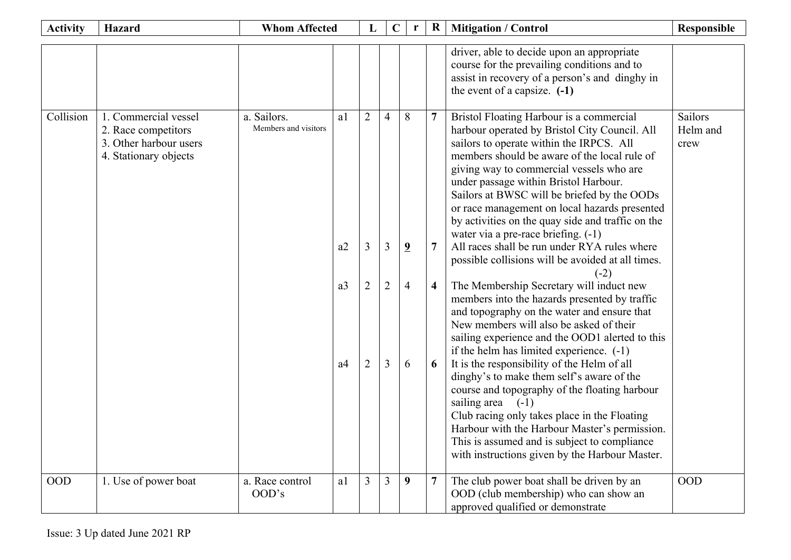| <b>Activity</b> | <b>Hazard</b>                                                                                  | <b>Whom Affected</b>                |                                  | $\mathbf{L}$                  | $\mathbf C$                                | r                                          | $\bf R$ | <b>Mitigation / Control</b>                                                                                                                                                                                                                                                                                                                                                                                                                                                                                                                                                                                                                                                                                                                                                                                                                                                                                                                                                                                                                                                                                                                                                                                                                           | Responsible                 |
|-----------------|------------------------------------------------------------------------------------------------|-------------------------------------|----------------------------------|-------------------------------|--------------------------------------------|--------------------------------------------|---------|-------------------------------------------------------------------------------------------------------------------------------------------------------------------------------------------------------------------------------------------------------------------------------------------------------------------------------------------------------------------------------------------------------------------------------------------------------------------------------------------------------------------------------------------------------------------------------------------------------------------------------------------------------------------------------------------------------------------------------------------------------------------------------------------------------------------------------------------------------------------------------------------------------------------------------------------------------------------------------------------------------------------------------------------------------------------------------------------------------------------------------------------------------------------------------------------------------------------------------------------------------|-----------------------------|
|                 |                                                                                                |                                     |                                  |                               |                                            |                                            |         | driver, able to decide upon an appropriate<br>course for the prevailing conditions and to<br>assist in recovery of a person's and dinghy in<br>the event of a capsize. $(-1)$                                                                                                                                                                                                                                                                                                                                                                                                                                                                                                                                                                                                                                                                                                                                                                                                                                                                                                                                                                                                                                                                         |                             |
| Collision       | 1. Commercial vessel<br>2. Race competitors<br>3. Other harbour users<br>4. Stationary objects | a. Sailors.<br>Members and visitors | a1<br>a2<br>a3<br>a <sup>4</sup> | $\overline{2}$<br>3<br>2<br>2 | $\overline{4}$<br>3<br>$\overline{2}$<br>3 | 8<br>$\overline{9}$<br>$\overline{4}$<br>6 | 4<br>6  | Bristol Floating Harbour is a commercial<br>harbour operated by Bristol City Council. All<br>sailors to operate within the IRPCS. All<br>members should be aware of the local rule of<br>giving way to commercial vessels who are<br>under passage within Bristol Harbour.<br>Sailors at BWSC will be briefed by the OODs<br>or race management on local hazards presented<br>by activities on the quay side and traffic on the<br>water via a pre-race briefing. (-1)<br>All races shall be run under RYA rules where<br>possible collisions will be avoided at all times.<br>(-2)<br>The Membership Secretary will induct new<br>members into the hazards presented by traffic<br>and topography on the water and ensure that<br>New members will also be asked of their<br>sailing experience and the OOD1 alerted to this<br>if the helm has limited experience. $(-1)$<br>It is the responsibility of the Helm of all<br>dinghy's to make them self's aware of the<br>course and topography of the floating harbour<br>sailing area<br>$(-1)$<br>Club racing only takes place in the Floating<br>Harbour with the Harbour Master's permission.<br>This is assumed and is subject to compliance<br>with instructions given by the Harbour Master. | Sailors<br>Helm and<br>crew |
| <b>OOD</b>      | 1. Use of power boat                                                                           | a. Race control<br>OOD's            | a1                               | $\overline{3}$                | $\overline{3}$                             | 9                                          |         | The club power boat shall be driven by an<br>OOD (club membership) who can show an<br>approved qualified or demonstrate                                                                                                                                                                                                                                                                                                                                                                                                                                                                                                                                                                                                                                                                                                                                                                                                                                                                                                                                                                                                                                                                                                                               | <b>OOD</b>                  |